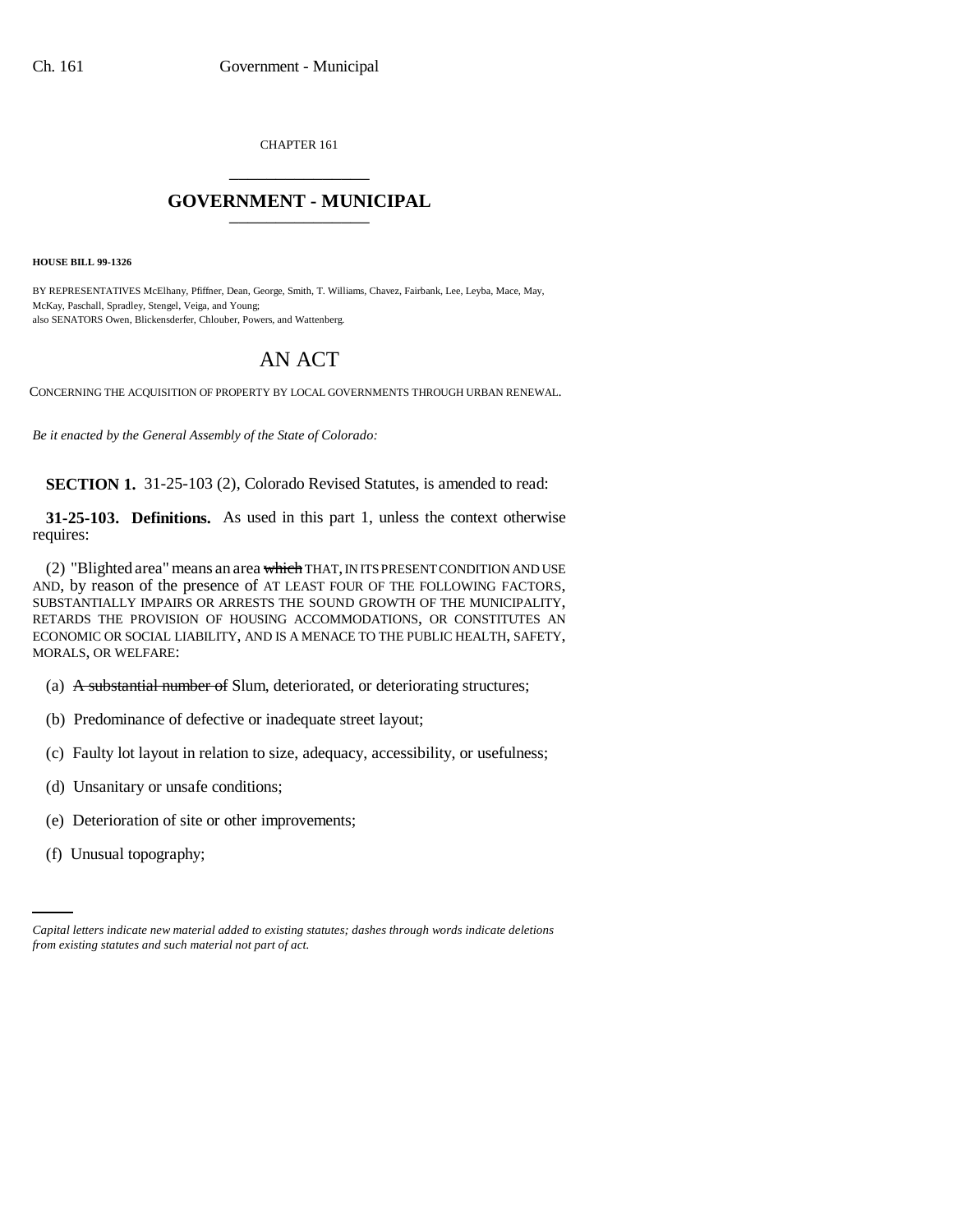CHAPTER 161 \_\_\_\_\_\_\_\_\_\_\_\_\_\_\_

## **GOVERNMENT - MUNICIPAL** \_\_\_\_\_\_\_\_\_\_\_\_\_\_\_

**HOUSE BILL 99-1326** 

BY REPRESENTATIVES McElhany, Pfiffner, Dean, George, Smith, T. Williams, Chavez, Fairbank, Lee, Leyba, Mace, May, McKay, Paschall, Spradley, Stengel, Veiga, and Young; also SENATORS Owen, Blickensderfer, Chlouber, Powers, and Wattenberg.

## AN ACT

CONCERNING THE ACQUISITION OF PROPERTY BY LOCAL GOVERNMENTS THROUGH URBAN RENEWAL.

*Be it enacted by the General Assembly of the State of Colorado:*

**SECTION 1.** 31-25-103 (2), Colorado Revised Statutes, is amended to read:

**31-25-103. Definitions.** As used in this part 1, unless the context otherwise requires:

(2) "Blighted area" means an area which THAT, IN ITS PRESENT CONDITION AND USE AND, by reason of the presence of AT LEAST FOUR OF THE FOLLOWING FACTORS, SUBSTANTIALLY IMPAIRS OR ARRESTS THE SOUND GROWTH OF THE MUNICIPALITY, RETARDS THE PROVISION OF HOUSING ACCOMMODATIONS, OR CONSTITUTES AN ECONOMIC OR SOCIAL LIABILITY, AND IS A MENACE TO THE PUBLIC HEALTH, SAFETY, MORALS, OR WELFARE:

- (a) A substantial number of Slum, deteriorated, or deteriorating structures;
- (b) Predominance of defective or inadequate street layout;
- (c) Faulty lot layout in relation to size, adequacy, accessibility, or usefulness;
- (d) Unsanitary or unsafe conditions;
- (e) Deterioration of site or other improvements;
	- (f) Unusual topography;

*Capital letters indicate new material added to existing statutes; dashes through words indicate deletions from existing statutes and such material not part of act.*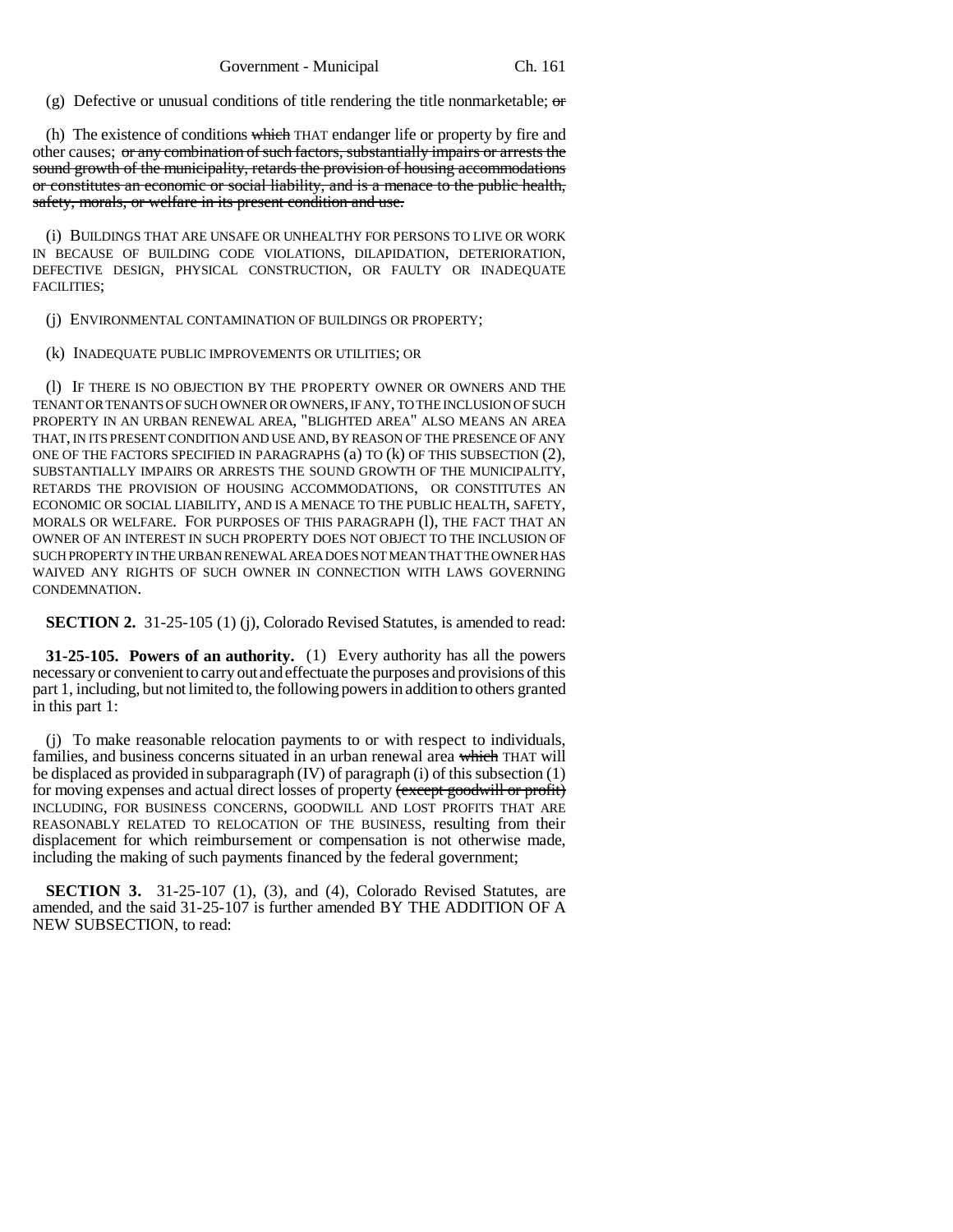(g) Defective or unusual conditions of title rendering the title nonmarketable;  $\sigma$ 

(h) The existence of conditions which THAT endanger life or property by fire and other causes; or any combination of such factors, substantially impairs or arrests the sound growth of the municipality, retards the provision of housing accommodations or constitutes an economic or social liability, and is a menace to the public health, safety, morals, or welfare in its present condition and use.

(i) BUILDINGS THAT ARE UNSAFE OR UNHEALTHY FOR PERSONS TO LIVE OR WORK IN BECAUSE OF BUILDING CODE VIOLATIONS, DILAPIDATION, DETERIORATION, DEFECTIVE DESIGN, PHYSICAL CONSTRUCTION, OR FAULTY OR INADEQUATE FACILITIES;

(j) ENVIRONMENTAL CONTAMINATION OF BUILDINGS OR PROPERTY;

(k) INADEQUATE PUBLIC IMPROVEMENTS OR UTILITIES; OR

(l) IF THERE IS NO OBJECTION BY THE PROPERTY OWNER OR OWNERS AND THE TENANT OR TENANTS OF SUCH OWNER OR OWNERS, IF ANY, TO THE INCLUSION OF SUCH PROPERTY IN AN URBAN RENEWAL AREA, "BLIGHTED AREA" ALSO MEANS AN AREA THAT, IN ITS PRESENT CONDITION AND USE AND, BY REASON OF THE PRESENCE OF ANY ONE OF THE FACTORS SPECIFIED IN PARAGRAPHS (a) TO (k) OF THIS SUBSECTION (2), SUBSTANTIALLY IMPAIRS OR ARRESTS THE SOUND GROWTH OF THE MUNICIPALITY, RETARDS THE PROVISION OF HOUSING ACCOMMODATIONS, OR CONSTITUTES AN ECONOMIC OR SOCIAL LIABILITY, AND IS A MENACE TO THE PUBLIC HEALTH, SAFETY, MORALS OR WELFARE. FOR PURPOSES OF THIS PARAGRAPH (l), THE FACT THAT AN OWNER OF AN INTEREST IN SUCH PROPERTY DOES NOT OBJECT TO THE INCLUSION OF SUCH PROPERTY IN THE URBAN RENEWAL AREA DOES NOT MEAN THAT THE OWNER HAS WAIVED ANY RIGHTS OF SUCH OWNER IN CONNECTION WITH LAWS GOVERNING CONDEMNATION.

**SECTION 2.** 31-25-105 (1) (j), Colorado Revised Statutes, is amended to read:

**31-25-105. Powers of an authority.** (1) Every authority has all the powers necessary or convenient to carry out and effectuate the purposes and provisions of this part 1, including, but not limited to, the following powers in addition to others granted in this part 1:

(j) To make reasonable relocation payments to or with respect to individuals, families, and business concerns situated in an urban renewal area which THAT will be displaced as provided in subparagraph (IV) of paragraph (i) of this subsection (1) for moving expenses and actual direct losses of property (except goodwill or profit) INCLUDING, FOR BUSINESS CONCERNS, GOODWILL AND LOST PROFITS THAT ARE REASONABLY RELATED TO RELOCATION OF THE BUSINESS, resulting from their displacement for which reimbursement or compensation is not otherwise made, including the making of such payments financed by the federal government;

**SECTION 3.** 31-25-107 (1), (3), and (4), Colorado Revised Statutes, are amended, and the said 31-25-107 is further amended BY THE ADDITION OF A NEW SUBSECTION, to read: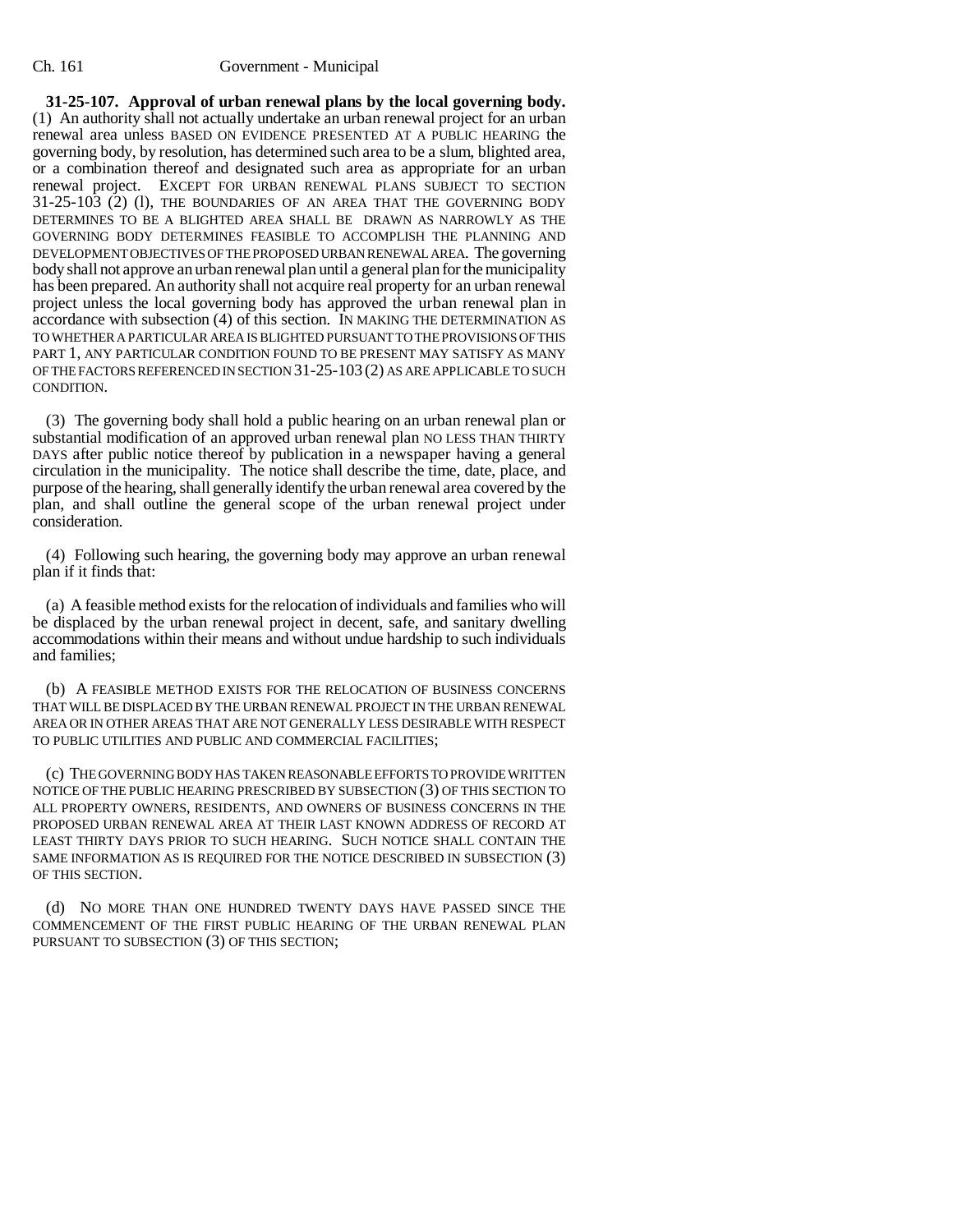## Ch. 161 Government - Municipal

**31-25-107. Approval of urban renewal plans by the local governing body.** (1) An authority shall not actually undertake an urban renewal project for an urban renewal area unless BASED ON EVIDENCE PRESENTED AT A PUBLIC HEARING the governing body, by resolution, has determined such area to be a slum, blighted area, or a combination thereof and designated such area as appropriate for an urban renewal project. EXCEPT FOR URBAN RENEWAL PLANS SUBJECT TO SECTION 31-25-103 (2) (l), THE BOUNDARIES OF AN AREA THAT THE GOVERNING BODY DETERMINES TO BE A BLIGHTED AREA SHALL BE DRAWN AS NARROWLY AS THE GOVERNING BODY DETERMINES FEASIBLE TO ACCOMPLISH THE PLANNING AND DEVELOPMENT OBJECTIVES OF THE PROPOSED URBAN RENEWAL AREA. The governing body shall not approve an urban renewal plan until a general plan for the municipality has been prepared. An authority shall not acquire real property for an urban renewal project unless the local governing body has approved the urban renewal plan in accordance with subsection (4) of this section. IN MAKING THE DETERMINATION AS TO WHETHER A PARTICULAR AREA IS BLIGHTED PURSUANT TO THE PROVISIONS OF THIS PART 1, ANY PARTICULAR CONDITION FOUND TO BE PRESENT MAY SATISFY AS MANY OF THE FACTORS REFERENCED IN SECTION 31-25-103 (2) AS ARE APPLICABLE TO SUCH CONDITION.

(3) The governing body shall hold a public hearing on an urban renewal plan or substantial modification of an approved urban renewal plan NO LESS THAN THIRTY DAYS after public notice thereof by publication in a newspaper having a general circulation in the municipality. The notice shall describe the time, date, place, and purpose of the hearing, shall generally identify the urban renewal area covered by the plan, and shall outline the general scope of the urban renewal project under consideration.

(4) Following such hearing, the governing body may approve an urban renewal plan if it finds that:

(a) A feasible method exists for the relocation of individuals and families who will be displaced by the urban renewal project in decent, safe, and sanitary dwelling accommodations within their means and without undue hardship to such individuals and families;

(b) A FEASIBLE METHOD EXISTS FOR THE RELOCATION OF BUSINESS CONCERNS THAT WILL BE DISPLACED BY THE URBAN RENEWAL PROJECT IN THE URBAN RENEWAL AREA OR IN OTHER AREAS THAT ARE NOT GENERALLY LESS DESIRABLE WITH RESPECT TO PUBLIC UTILITIES AND PUBLIC AND COMMERCIAL FACILITIES;

(c) THE GOVERNING BODY HAS TAKEN REASONABLE EFFORTS TO PROVIDE WRITTEN NOTICE OF THE PUBLIC HEARING PRESCRIBED BY SUBSECTION (3) OF THIS SECTION TO ALL PROPERTY OWNERS, RESIDENTS, AND OWNERS OF BUSINESS CONCERNS IN THE PROPOSED URBAN RENEWAL AREA AT THEIR LAST KNOWN ADDRESS OF RECORD AT LEAST THIRTY DAYS PRIOR TO SUCH HEARING. SUCH NOTICE SHALL CONTAIN THE SAME INFORMATION AS IS REQUIRED FOR THE NOTICE DESCRIBED IN SUBSECTION (3) OF THIS SECTION.

(d) NO MORE THAN ONE HUNDRED TWENTY DAYS HAVE PASSED SINCE THE COMMENCEMENT OF THE FIRST PUBLIC HEARING OF THE URBAN RENEWAL PLAN PURSUANT TO SUBSECTION (3) OF THIS SECTION;